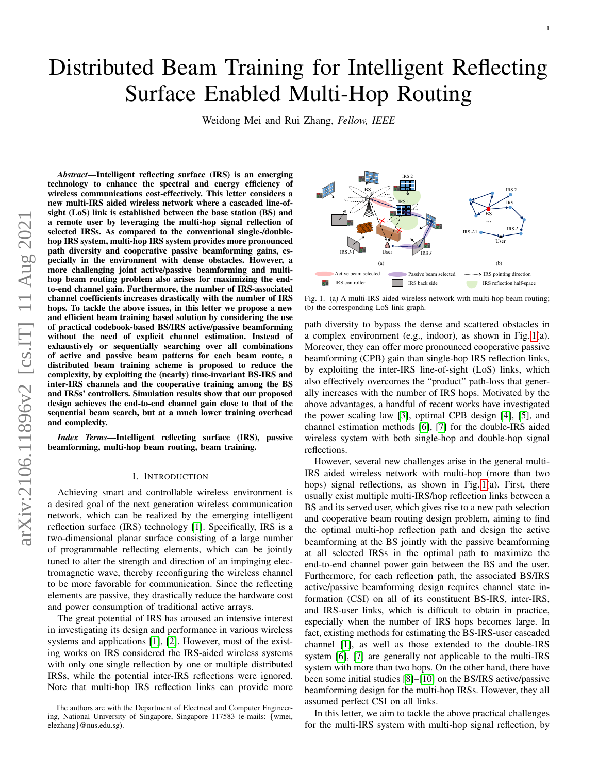# Distributed Beam Training for Intelligent Reflecting Surface Enabled Multi-Hop Routing

Weidong Mei and Rui Zhang, *Fellow, IEEE*

*Abstract*—Intelligent reflecting surface (IRS) is an emerging technology to enhance the spectral and energy efficiency of wireless communications cost-effectively. This letter considers a new multi-IRS aided wireless network where a cascaded line-ofsight (LoS) link is established between the base station (BS) and a remote user by leveraging the multi-hop signal reflection of selected IRSs. As compared to the conventional single-/doublehop IRS system, multi-hop IRS system provides more pronounced path diversity and cooperative passive beamforming gains, especially in the environment with dense obstacles. However, a more challenging joint active/passive beamforming and multihop beam routing problem also arises for maximizing the endto-end channel gain. Furthermore, the number of IRS-associated channel coefficients increases drastically with the number of IRS hops. To tackle the above issues, in this letter we propose a new and efficient beam training based solution by considering the use of practical codebook-based BS/IRS active/passive beamforming without the need of explicit channel estimation. Instead of exhaustively or sequentially searching over all combinations of active and passive beam patterns for each beam route, a distributed beam training scheme is proposed to reduce the complexity, by exploiting the (nearly) time-invariant BS-IRS and inter-IRS channels and the cooperative training among the BS and IRSs' controllers. Simulation results show that our proposed design achieves the end-to-end channel gain close to that of the sequential beam search, but at a much lower training overhead and complexity.

*Index Terms*—Intelligent reflecting surface (IRS), passive beamforming, multi-hop beam routing, beam training.

#### I. INTRODUCTION

Achieving smart and controllable wireless environment is a desired goal of the next generation wireless communication network, which can be realized by the emerging intelligent reflection surface (IRS) technology [\[1\]](#page-5-0). Specifically, IRS is a two-dimensional planar surface consisting of a large number of programmable reflecting elements, which can be jointly tuned to alter the strength and direction of an impinging electromagnetic wave, thereby reconfiguring the wireless channel to be more favorable for communication. Since the reflecting elements are passive, they drastically reduce the hardware cost and power consumption of traditional active arrays.

The great potential of IRS has aroused an intensive interest in investigating its design and performance in various wireless systems and applications [\[1\]](#page-5-0), [\[2\]](#page-5-1). However, most of the existing works on IRS considered the IRS-aided wireless systems with only one single reflection by one or multiple distributed IRSs, while the potential inter-IRS reflections were ignored. Note that multi-hop IRS reflection links can provide more



<span id="page-0-0"></span>Fig. 1. (a) A multi-IRS aided wireless network with multi-hop beam routing; (b) the corresponding LoS link graph.

path diversity to bypass the dense and scattered obstacles in a complex environment (e.g., indoor), as shown in Fig. [1\(](#page-0-0)a). Moreover, they can offer more pronounced cooperative passive beamforming (CPB) gain than single-hop IRS reflection links, by exploiting the inter-IRS line-of-sight (LoS) links, which also effectively overcomes the "product" path-loss that generally increases with the number of IRS hops. Motivated by the above advantages, a handful of recent works have investigated the power scaling law [\[3\]](#page-5-2), optimal CPB design [\[4\]](#page-5-3), [\[5\]](#page-5-4), and channel estimation methods [\[6\]](#page-5-5), [\[7\]](#page-5-6) for the double-IRS aided wireless system with both single-hop and double-hop signal reflections.

However, several new challenges arise in the general multi-IRS aided wireless network with multi-hop (more than two hops) signal reflections, as shown in Fig. [1\(](#page-0-0)a). First, there usually exist multiple multi-IRS/hop reflection links between a BS and its served user, which gives rise to a new path selection and cooperative beam routing design problem, aiming to find the optimal multi-hop reflection path and design the active beamforming at the BS jointly with the passive beamforming at all selected IRSs in the optimal path to maximize the end-to-end channel power gain between the BS and the user. Furthermore, for each reflection path, the associated BS/IRS active/passive beamforming design requires channel state information (CSI) on all of its constituent BS-IRS, inter-IRS, and IRS-user links, which is difficult to obtain in practice, especially when the number of IRS hops becomes large. In fact, existing methods for estimating the BS-IRS-user cascaded channel [\[1\]](#page-5-0), as well as those extended to the double-IRS system [\[6\]](#page-5-5), [\[7\]](#page-5-6) are generally not applicable to the multi-IRS system with more than two hops. On the other hand, there have been some initial studies [\[8\]](#page-5-7)–[\[10\]](#page-5-8) on the BS/IRS active/passive beamforming design for the multi-hop IRSs. However, they all assumed perfect CSI on all links.

In this letter, we aim to tackle the above practical challenges for the multi-IRS system with multi-hop signal reflection, by

The authors are with the Department of Electrical and Computer Engineering, National University of Singapore, Singapore 117583 (e-mails: {wmei, elezhang}@nus.edu.sg).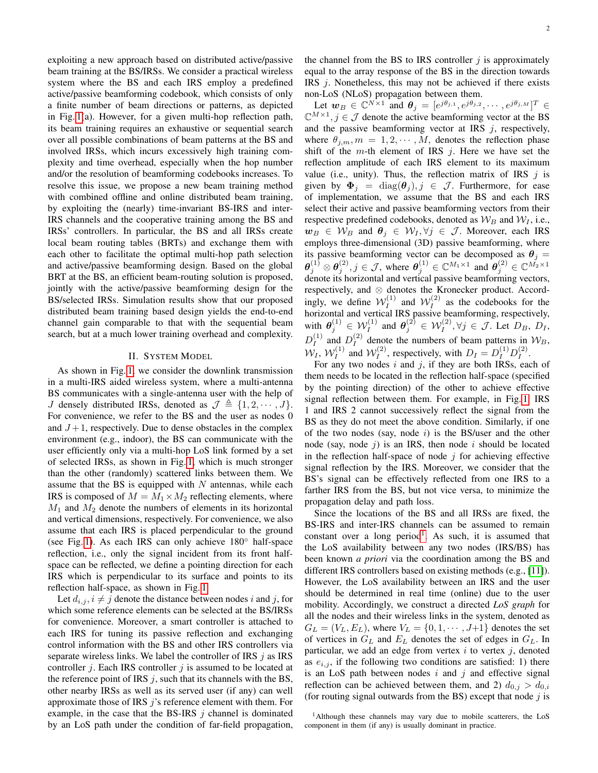exploiting a new approach based on distributed active/passive beam training at the BS/IRSs. We consider a practical wireless system where the BS and each IRS employ a predefined active/passive beamforming codebook, which consists of only a finite number of beam directions or patterns, as depicted in Fig. [1\(](#page-0-0)a). However, for a given multi-hop reflection path, its beam training requires an exhaustive or sequential search over all possible combinations of beam patterns at the BS and involved IRSs, which incurs excessively high training complexity and time overhead, especially when the hop number and/or the resolution of beamforming codebooks increases. To resolve this issue, we propose a new beam training method with combined offline and online distributed beam training, by exploiting the (nearly) time-invariant BS-IRS and inter-IRS channels and the cooperative training among the BS and IRSs' controllers. In particular, the BS and all IRSs create local beam routing tables (BRTs) and exchange them with each other to facilitate the optimal multi-hop path selection and active/passive beamforming design. Based on the global BRT at the BS, an efficient beam-routing solution is proposed, jointly with the active/passive beamforming design for the BS/selected IRSs. Simulation results show that our proposed distributed beam training based design yields the end-to-end channel gain comparable to that with the sequential beam search, but at a much lower training overhead and complexity.

# II. SYSTEM MODEL

As shown in Fig. [1,](#page-0-0) we consider the downlink transmission in a multi-IRS aided wireless system, where a multi-antenna BS communicates with a single-antenna user with the help of J densely distributed IRSs, denoted as  $\mathcal{J} \triangleq \{1, 2, \cdots, J\}$ . For convenience, we refer to the BS and the user as nodes 0 and  $J+1$ , respectively. Due to dense obstacles in the complex environment (e.g., indoor), the BS can communicate with the user efficiently only via a multi-hop LoS link formed by a set of selected IRSs, as shown in Fig. [1,](#page-0-0) which is much stronger than the other (randomly) scattered links between them. We assume that the BS is equipped with  $N$  antennas, while each IRS is composed of  $M = M_1 \times M_2$  reflecting elements, where  $M_1$  and  $M_2$  denote the numbers of elements in its horizontal and vertical dimensions, respectively. For convenience, we also assume that each IRS is placed perpendicular to the ground (see Fig. [1\)](#page-0-0). As each IRS can only achieve 180◦ half-space reflection, i.e., only the signal incident from its front halfspace can be reflected, we define a pointing direction for each IRS which is perpendicular to its surface and points to its reflection half-space, as shown in Fig. [1.](#page-0-0)

Let  $d_{i,j}$ ,  $i \neq j$  denote the distance between nodes i and j, for which some reference elements can be selected at the BS/IRSs for convenience. Moreover, a smart controller is attached to each IRS for tuning its passive reflection and exchanging control information with the BS and other IRS controllers via separate wireless links. We label the controller of IRS  $j$  as IRS controller  $j$ . Each IRS controller  $j$  is assumed to be located at the reference point of IRS  $j$ , such that its channels with the BS, other nearby IRSs as well as its served user (if any) can well approximate those of IRS  $j$ 's reference element with them. For example, in the case that the BS-IRS  $j$  channel is dominated by an LoS path under the condition of far-field propagation, the channel from the BS to IRS controller  $j$  is approximately equal to the array response of the BS in the direction towards IRS  $i$ . Nonetheless, this may not be achieved if there exists non-LoS (NLoS) propagation between them.

Let  $w_B \in \mathbb{C}^{N \times 1}$  and  $\theta_j = [e^{j\theta_{j,1}}, e^{j\theta_{j,2}}, \cdots, e^{j\theta_{j,M}}]^T \in$  $\mathbb{C}^{M\times 1}$ ,  $j \in \mathcal{J}$  denote the active beamforming vector at the BS and the passive beamforming vector at IRS  $j$ , respectively, where  $\theta_{i,m}, m = 1, 2, \cdots, M$ , denotes the reflection phase shift of the  $m$ -th element of IRS  $j$ . Here we have set the reflection amplitude of each IRS element to its maximum value (i.e., unity). Thus, the reflection matrix of IRS  $j$  is given by  $\mathbf{\Phi}_j = \text{diag}(\boldsymbol{\theta}_j), j \in \mathcal{J}$ . Furthermore, for ease of implementation, we assume that the BS and each IRS select their active and passive beamforming vectors from their respective predefined codebooks, denoted as  $W_B$  and  $W_I$ , i.e.,  $w_B \in W_B$  and  $\theta_j \in W_I, \forall j \in \mathcal{J}$ . Moreover, each IRS employs three-dimensional (3D) passive beamforming, where its passive beamforming vector can be decomposed as  $\theta_j =$  $\theta_j^{(1)} \otimes \theta_j^{(2)}, j \in \mathcal{J}$ , where  $\theta_j^{(1)} \in \mathbb{C}^{M_1 \times 1}$  and  $\theta_j^{(2)} \in \mathbb{C}^{M_2 \times 1}$ denote its horizontal and vertical passive beamforming vectors, respectively, and ⊗ denotes the Kronecker product. Accordingly, we define  $W_I^{(1)}$  $\mathcal{W}_I^{(1)}$  and  $\mathcal{W}_I^{(2)}$  $I_I^{(2)}$  as the codebooks for the horizontal and vertical IRS passive beamforming, respectively, with  $\theta_j^{(1)} \in \mathcal{W}_I^{(1)}$  and  $\theta_j^{(2)} \in \mathcal{W}_I^{(2)}, \forall j \in \mathcal{J}$ . Let  $D_B$ ,  $D_I$ ,  $D_I^{(1)}$  $I_I^{(1)}$  and  $D_I^{(2)}$  $\mathcal{W}_I^{(2)}$  denote the numbers of beam patterns in  $\mathcal{W}_B$ ,  $\mathcal{W}_I, \, \mathcal{W}_I^{(1)}$  $\mathcal{W}_I^{(1)}$  and  $\mathcal{W}_I^{(2)}$  $I_I^{(2)}$ , respectively, with  $D_I = D_I^{(1)} D_I^{(2)}$  $I^{\mathcal{L}'}$ .

For any two nodes  $i$  and  $j$ , if they are both IRSs, each of them needs to be located in the reflection half-space (specified by the pointing direction) of the other to achieve effective signal reflection between them. For example, in Fig. [1,](#page-0-0) IRS 1 and IRS 2 cannot successively reflect the signal from the BS as they do not meet the above condition. Similarly, if one of the two nodes (say, node  $i$ ) is the BS/user and the other node (say, node  $j$ ) is an IRS, then node  $i$  should be located in the reflection half-space of node  $j$  for achieving effective signal reflection by the IRS. Moreover, we consider that the BS's signal can be effectively reflected from one IRS to a farther IRS from the BS, but not vice versa, to minimize the propagation delay and path loss.

Since the locations of the BS and all IRSs are fixed, the BS-IRS and inter-IRS channels can be assumed to remain constant over a long period<sup>[1](#page-1-0)</sup>. As such, it is assumed that the LoS availability between any two nodes (IRS/BS) has been known *a priori* via the coordination among the BS and different IRS controllers based on existing methods (e.g., [\[11\]](#page-5-9)). However, the LoS availability between an IRS and the user should be determined in real time (online) due to the user mobility. Accordingly, we construct a directed *LoS graph* for all the nodes and their wireless links in the system, denoted as  $G_L = (V_L, E_L)$ , where  $V_L = \{0, 1, \dots, J+1\}$  denotes the set of vertices in  $G_L$  and  $E_L$  denotes the set of edges in  $G_L$ . In particular, we add an edge from vertex  $i$  to vertex  $j$ , denoted as  $e_{i,j}$ , if the following two conditions are satisfied: 1) there is an LoS path between nodes  $i$  and  $j$  and effective signal reflection can be achieved between them, and 2)  $d_{0,i} > d_{0,i}$ (for routing signal outwards from the BS) except that node  $j$  is

<span id="page-1-0"></span><sup>&</sup>lt;sup>1</sup>Although these channels may vary due to mobile scatterers, the LoS component in them (if any) is usually dominant in practice.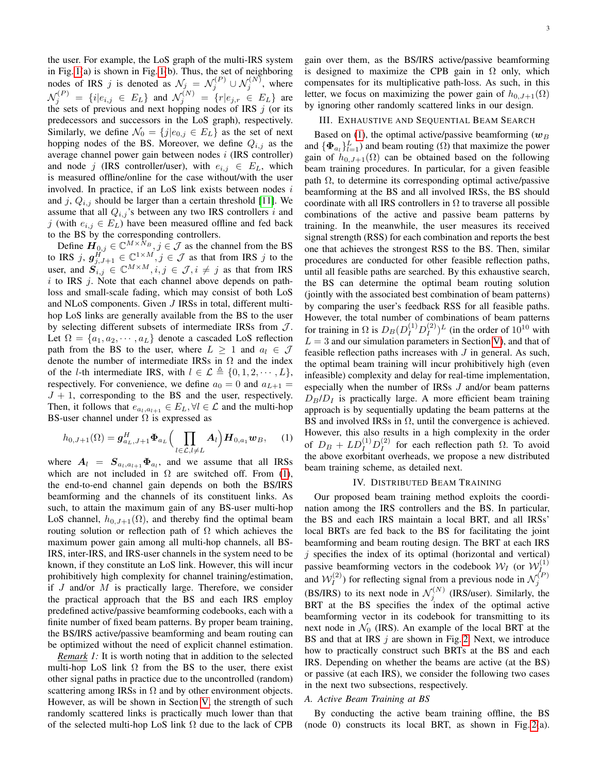the user. For example, the LoS graph of the multi-IRS system in Fig. [1\(](#page-0-0)a) is shown in Fig. [1\(](#page-0-0)b). Thus, the set of neighboring nodes of IRS j is denoted as  $\mathcal{N}_j = \mathcal{N}_j^{(P)} \cup \mathcal{N}_j^{(N)}$ , where  $\mathcal{N}_j^{(P)} = \{i | e_{i,j} \in E_L \}$  and  $\mathcal{N}_j^{(N)} = \{r | e_{j,r} \in E_L \}$  are the sets of previous and next hopping nodes of IRS  $j$  (or its predecessors and successors in the LoS graph), respectively. Similarly, we define  $\mathcal{N}_0 = \{j|e_{0,j} \in E_L\}$  as the set of next hopping nodes of the BS. Moreover, we define  $Q_{i,j}$  as the average channel power gain between nodes i (IRS controller) and node j (IRS controller/user), with  $e_{i,j} \in E_L$ , which is measured offline/online for the case without/with the user involved. In practice, if an LoS link exists between nodes  $i$ and j,  $Q_{i,j}$  should be larger than a certain threshold [\[11\]](#page-5-9). We assume that all  $Q_{i,j}$ 's between any two IRS controllers i and j (with  $e_{i,j} \in E_L$ ) have been measured offline and fed back to the BS by the corresponding controllers.

Define  $\mathbf{H}_{0,j} \in \mathbb{C}^{M \times \tilde{N}_B}, j \in \mathcal{J}$  as the channel from the BS to IRS j,  $g_{j,j+1}^{\tilde{H}^{\prime\prime}} \in \mathbb{C}^{1 \times M}, j \in \mathcal{J}$  as that from IRS j to the user, and  $S_{i,j}^{j} \in \mathbb{C}^{M \times M}, i, j \in \mathcal{J}, i \neq j$  as that from IRS  $i$  to IRS  $j$ . Note that each channel above depends on pathloss and small-scale fading, which may consist of both LoS and NLoS components. Given J IRSs in total, different multihop LoS links are generally available from the BS to the user by selecting different subsets of intermediate IRSs from  $J$ . Let  $\Omega = \{a_1, a_2, \dots, a_L\}$  denote a cascaded LoS reflection path from the BS to the user, where  $L > 1$  and  $a_l \in \mathcal{J}$ denote the number of intermediate IRSs in  $\Omega$  and the index of the *l*-th intermediate IRS, with  $l \in \mathcal{L} \triangleq \{0, 1, 2, \dots, L\},\$ respectively. For convenience, we define  $a_0 = 0$  and  $a_{L+1} =$  $J + 1$ , corresponding to the BS and the user, respectively. Then, it follows that  $e_{a_l,a_{l+1}} \in E_L, \forall l \in \mathcal{L}$  and the multi-hop BS-user channel under  $\Omega$  is expressed as

<span id="page-2-0"></span>
$$
h_{0,J+1}(\Omega) = \mathbf{g}_{a_L,J+1}^H \mathbf{\Phi}_{a_L} \Big( \prod_{l \in \mathcal{L}, l \neq L} \mathbf{A}_l \Big) \mathbf{H}_{0,a_1} \mathbf{w}_B, \quad (1)
$$

where  $A_l = S_{a_l, a_{l+1}} \Phi_{a_l}$ , and we assume that all IRSs which are not included in  $\Omega$  are switched off. From [\(1\)](#page-2-0), the end-to-end channel gain depends on both the BS/IRS beamforming and the channels of its constituent links. As such, to attain the maximum gain of any BS-user multi-hop LoS channel,  $h_{0,J+1}(\Omega)$ , and thereby find the optimal beam routing solution or reflection path of  $\Omega$  which achieves the maximum power gain among all multi-hop channels, all BS-IRS, inter-IRS, and IRS-user channels in the system need to be known, if they constitute an LoS link. However, this will incur prohibitively high complexity for channel training/estimation, if  $J$  and/or  $M$  is practically large. Therefore, we consider the practical approach that the BS and each IRS employ predefined active/passive beamforming codebooks, each with a finite number of fixed beam patterns. By proper beam training, the BS/IRS active/passive beamforming and beam routing can be optimized without the need of explicit channel estimation.

*Remark 1:* It is worth noting that in addition to the selected multi-hop LoS link  $\Omega$  from the BS to the user, there exist other signal paths in practice due to the uncontrolled (random) scattering among IRSs in  $\Omega$  and by other environment objects. However, as will be shown in Section [V,](#page-4-0) the strength of such randomly scattered links is practically much lower than that of the selected multi-hop LoS link  $\Omega$  due to the lack of CPB gain over them, as the BS/IRS active/passive beamforming is designed to maximize the CPB gain in  $\Omega$  only, which compensates for its multiplicative path-loss. As such, in this letter, we focus on maximizing the power gain of  $h_{0,J+1}(\Omega)$ by ignoring other randomly scattered links in our design.

#### III. EXHAUSTIVE AND SEQUENTIAL BEAM SEARCH

Based on [\(1\)](#page-2-0), the optimal active/passive beamforming  $(w_B)$ and  $\{\mathbf{\Phi}_{a_l}\}_{l=1}^L$ ) and beam routing ( $\Omega$ ) that maximize the power gain of  $h_{0,J+1}(\Omega)$  can be obtained based on the following beam training procedures. In particular, for a given feasible path  $\Omega$ , to determine its corresponding optimal active/passive beamforming at the BS and all involved IRSs, the BS should coordinate with all IRS controllers in  $\Omega$  to traverse all possible combinations of the active and passive beam patterns by training. In the meanwhile, the user measures its received signal strength (RSS) for each combination and reports the best one that achieves the strongest RSS to the BS. Then, similar procedures are conducted for other feasible reflection paths, until all feasible paths are searched. By this exhaustive search, the BS can determine the optimal beam routing solution (jointly with the associated best combination of beam patterns) by comparing the user's feedback RSS for all feasible paths. However, the total number of combinations of beam patterns for training in  $\Omega$  is  $D_B(D_I^{(1)}D_I^{(2)})$  $\binom{2}{I}$  (in the order of  $10^{10}$  with  $L = 3$  and our simulation parameters in Section [V\)](#page-4-0), and that of feasible reflection paths increases with  $J$  in general. As such, the optimal beam training will incur prohibitively high (even infeasible) complexity and delay for real-time implementation, especially when the number of IRSs J and/or beam patterns  $D_B/D_I$  is practically large. A more efficient beam training approach is by sequentially updating the beam patterns at the BS and involved IRSs in  $\Omega$ , until the convergence is achieved. However, this also results in a high complexity in the order of  $D_B + LD_I^{(1)}D_I^{(2)}$  $I_I^{(2)}$  for each reflection path  $\Omega$ . To avoid the above exorbitant overheads, we propose a new distributed beam training scheme, as detailed next.

### IV. DISTRIBUTED BEAM TRAINING

Our proposed beam training method exploits the coordination among the IRS controllers and the BS. In particular, the BS and each IRS maintain a local BRT, and all IRSs' local BRTs are fed back to the BS for facilitating the joint beamforming and beam routing design. The BRT at each IRS  $j$  specifies the index of its optimal (horizontal and vertical) passive beamforming vectors in the codebook  $W_I$  (or  $W_I^{(1)}$ ) I and  $\mathcal{W}_I^{(2)}$  $\mathcal{N}_I^{(2)}$ ) for reflecting signal from a previous node in  $\mathcal{N}_j^{(P)}$ (BS/IRS) to its next node in  $\mathcal{N}_j^{(N)}$  (IRS/user). Similarly, the BRT at the BS specifies the index of the optimal active beamforming vector in its codebook for transmitting to its next node in  $\mathcal{N}_0$  (IRS). An example of the local BRT at the BS and that at IRS  $j$  are shown in Fig. [2.](#page-3-0) Next, we introduce how to practically construct such BRTs at the BS and each IRS. Depending on whether the beams are active (at the BS) or passive (at each IRS), we consider the following two cases in the next two subsections, respectively.

## *A. Active Beam Training at BS*

By conducting the active beam training offline, the BS (node 0) constructs its local BRT, as shown in Fig. [2\(](#page-3-0)a).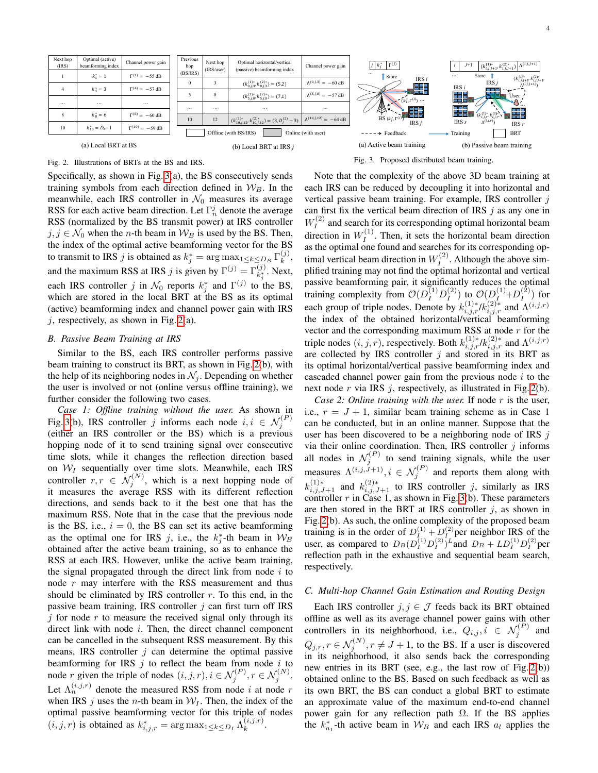

<span id="page-3-0"></span>Fig. 2. Illustrations of BRTs at the BS and IRS.

Specifically, as shown in Fig. [3\(](#page-3-1)a), the BS consecutively sends training symbols from each direction defined in  $W_B$ . In the meanwhile, each IRS controller in  $\mathcal{N}_0$  measures its average RSS for each active beam direction. Let  $\Gamma_n^j$  denote the average RSS (normalized by the BS transmit power) at IRS controller  $j, j \in \mathcal{N}_0$  when the *n*-th beam in  $\mathcal{W}_B$  is used by the BS. Then, the index of the optimal active beamforming vector for the BS to transmit to IRS *j* is obtained as  $k_j^* = \arg \max_{1 \leq k \leq D_B} \Gamma_k^{(j)}$  $\binom{J}{k}$ and the maximum RSS at IRS j is given by  $\Gamma^{(j)} = \Gamma_{k_j^*}^{(j)}$ . Next, each IRS controller j in  $\mathcal{N}_0$  reports  $k_j^*$  and  $\Gamma^{(j)}$  to the BS, which are stored in the local BRT at the BS as its optimal (active) beamforming index and channel power gain with IRS  $j$ , respectively, as shown in Fig. [2\(](#page-3-0)a).

## *B. Passive Beam Training at IRS*

Similar to the BS, each IRS controller performs passive beam training to construct its BRT, as shown in Fig. [2\(](#page-3-0)b), with the help of its neighboring nodes in  $\mathcal{N}_j$ . Depending on whether the user is involved or not (online versus offline training), we further consider the following two cases.

*Case 1: Offline training without the user.* As shown in Fig. [3\(](#page-3-1)b), IRS controller j informs each node  $i, i \in \mathcal{N}_j^{(P)}$ (either an IRS controller or the BS) which is a previous hopping node of it to send training signal over consecutive time slots, while it changes the reflection direction based on  $W_I$  sequentially over time slots. Meanwhile, each IRS controller  $r, r \in \mathcal{N}_j^{(N)}$ , which is a next hopping node of it measures the average RSS with its different reflection directions, and sends back to it the best one that has the maximum RSS. Note that in the case that the previous node is the BS, i.e.,  $i = 0$ , the BS can set its active beamforming as the optimal one for IRS j, i.e., the  $k_j^*$ -th beam in  $\mathcal{W}_B$ obtained after the active beam training, so as to enhance the RSS at each IRS. However, unlike the active beam training, the signal propagated through the direct link from node  $i$  to node  $r$  may interfere with the RSS measurement and thus should be eliminated by IRS controller  $r$ . To this end, in the passive beam training, IRS controller  $j$  can first turn off IRS  $j$  for node r to measure the received signal only through its direct link with node i. Then, the direct channel component can be cancelled in the subsequent RSS measurement. By this means, IRS controller  $j$  can determine the optimal passive beamforming for IRS  $j$  to reflect the beam from node  $i$  to node r given the triple of nodes  $(i, j, r), i \in \mathcal{N}_j^{(P)}, r \in \mathcal{N}_j^{(N)}$ . Let  $\Lambda_n^{(i,j,r)}$  denote the measured RSS from node *i* at node *r* when IRS  $j$  uses the *n*-th beam in  $W_I$ . Then, the index of the optimal passive beamforming vector for this triple of nodes  $(i, j, r)$  is obtained as  $k_{i,j,r}^* = \arg \max_{1 \leq k \leq D_I} \hat{\Lambda}_k^{(i,j,r)}$  $\stackrel{(i,j,r)}{k}$ .

<span id="page-3-1"></span>Fig. 3. Proposed distributed beam training.

Note that the complexity of the above 3D beam training at each IRS can be reduced by decoupling it into horizontal and vertical passive beam training. For example, IRS controller  $j$ can first fix the vertical beam direction of IRS  $j$  as any one in  $W_I^{(2)}$  $I_I^{(2)}$  and search for its corresponding optimal horizontal beam direction in  $W_I^{(1)}$  $I_I^{(1)}$ . Then, it sets the horizontal beam direction as the optimal one found and searches for its corresponding optimal vertical beam direction in  $W_I^{(2)}$  $I_I^{(2)}$ . Although the above simplified training may not find the optimal horizontal and vertical passive beamforming pair, it significantly reduces the optimal training complexity from  $\mathcal{O}(D_I^{(1)} D_I^{(2)})$  $\binom{2}{I}$  to  $\mathcal{O}(D_I^{(1)} + D_I^{(2)})$  $\binom{2}{I}$  for each group of triple nodes. Denote by  $k_{i,j,r}^{(1)*}/k_{i,j,r}^{(2)*}$  and  $\Lambda^{(i,j,r)}$ the index of the obtained horizontal/vertical beamforming vector and the corresponding maximum RSS at node  $r$  for the triple nodes  $(i, j, r)$ , respectively. Both  $k_{i,j,r}^{(1)*}/k_{i,j,r}^{(2)*}$  and  $\Lambda^{(i,j,r)}$ are collected by IRS controller  $j$  and stored in its BRT as its optimal horizontal/vertical passive beamforming index and cascaded channel power gain from the previous node  $i$  to the next node r via IRS  $j$ , respectively, as illustrated in Fig. [2\(](#page-3-0)b).

*Case 2: Online training with the user.* If node r is the user, i.e.,  $r = J + 1$ , similar beam training scheme as in Case 1 can be conducted, but in an online manner. Suppose that the user has been discovered to be a neighboring node of IRS  $j$ via their online coordination. Then, IRS controller  $j$  informs all nodes in  $\mathcal{N}_j^{(P)}$  to send training signals, while the user measures  $\Lambda^{(i,j,\tilde{J}+1)}, i \in \mathcal{N}_j^{(P)}$  and reports them along with  $k_{i,j,J+1}^{(1)*}$  and  $k_{i,j,J+1}^{(2)*}$  to IRS controller j, similarly as IRS controller  $r$  in Case 1, as shown in Fig. [3\(](#page-3-1)b). These parameters are then stored in the BRT at IRS controller  $j$ , as shown in Fig. [2\(](#page-3-0)b). As such, the online complexity of the proposed beam training is in the order of  $D_{I}^{(1)} + D_{I}^{(2)}$  per neighbor IRS of the user, as compared to  $D_B(D_I^{(1)}D_I^{(2)})^L$  and  $D_B + LD_I^{(1)}D_I^{(2)}$  per reflection path in the exhaustive and sequential beam search, respectively.

#### *C. Multi-hop Channel Gain Estimation and Routing Design*

Each IRS controller  $j, j \in \mathcal{J}$  feeds back its BRT obtained offline as well as its average channel power gains with other controllers in its neighborhood, i.e.,  $Q_{i,j}, i \in \mathcal{N}_j^{(P)}$  and  $Q_{j,r}, r \in \mathcal{N}_j^{(N)}$ ,  $r \neq J+1$ , to the BS. If a user is discovered in its neighborhood, it also sends back the corresponding new entries in its BRT (see, e.g., the last row of Fig. [2\(](#page-3-0)b)) obtained online to the BS. Based on such feedback as well as its own BRT, the BS can conduct a global BRT to estimate an approximate value of the maximum end-to-end channel power gain for any reflection path  $\Omega$ . If the BS applies the  $k_{a_1}^*$ -th active beam in  $\mathcal{W}_B$  and each IRS  $a_l$  applies the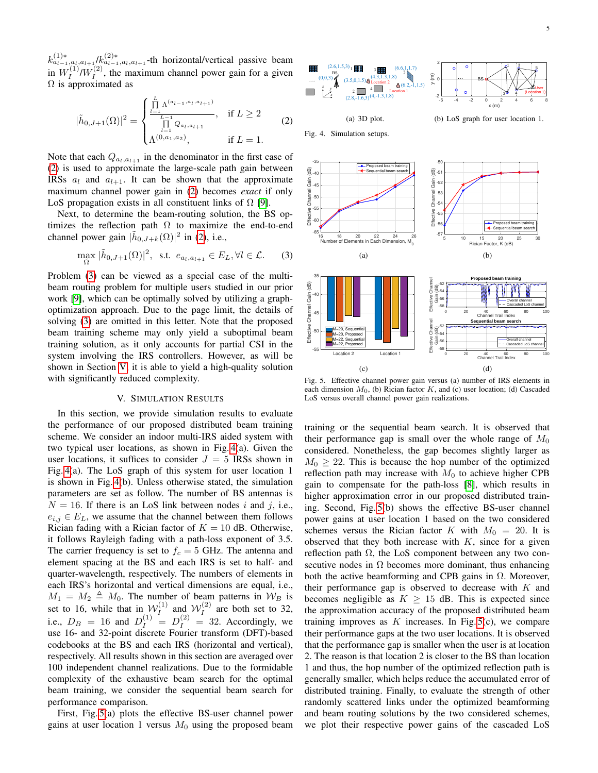$k_{a_{l-1},a_l,a_{l+1}}^{(1)*}/k_{a_{l-1},a_l,a_{l+1}}^{(2)*}$ -th horizontal/vertical passive beam in  $W_I^{(1)}$  $\tilde{U}_I^{(1)}$ / $W_I^{(2)}$  $I_I^{(2)}$ , the maximum channel power gain for a given  $\Omega$  is approximated as

<span id="page-4-1"></span>
$$
|\tilde{h}_{0,J+1}(\Omega)|^2 = \begin{cases} \frac{\prod\limits_{l=1}^{L} \Lambda^{(a_{l-1}, a_l, a_{l+1})}}{\prod\limits_{l=1}^{L-1} Q_{a_l, a_{l+1}}}, & \text{if } L \ge 2\\ \Lambda^{(0, a_1, a_2)}, & \text{if } L = 1. \end{cases}
$$
 (2)

Note that each  $Q_{a_l,a_{l+1}}$  in the denominator in the first case of [\(2\)](#page-4-1) is used to approximate the large-scale path gain between IRSs  $a_l$  and  $a_{l+1}$ . It can be shown that the approximate maximum channel power gain in [\(2\)](#page-4-1) becomes *exact* if only LoS propagation exists in all constituent links of  $\Omega$  [\[9\]](#page-5-10).

Next, to determine the beam-routing solution, the BS optimizes the reflection path  $\Omega$  to maximize the end-to-end channel power gain  $|\tilde{h}_{0,J+k}(\Omega)|^2$  in [\(2\)](#page-4-1), i.e.,

<span id="page-4-2"></span>
$$
\max_{\Omega} |\tilde{h}_{0,J+1}(\Omega)|^2, \text{ s.t. } e_{a_l,a_{l+1}} \in E_L, \forall l \in \mathcal{L}. \tag{3}
$$

Problem [\(3\)](#page-4-2) can be viewed as a special case of the multibeam routing problem for multiple users studied in our prior work [\[9\]](#page-5-10), which can be optimally solved by utilizing a graphoptimization approach. Due to the page limit, the details of solving [\(3\)](#page-4-2) are omitted in this letter. Note that the proposed beam training scheme may only yield a suboptimal beam training solution, as it only accounts for partial CSI in the system involving the IRS controllers. However, as will be shown in Section [V,](#page-4-0) it is able to yield a high-quality solution with significantly reduced complexity.

## V. SIMULATION RESULTS

<span id="page-4-0"></span>In this section, we provide simulation results to evaluate the performance of our proposed distributed beam training scheme. We consider an indoor multi-IRS aided system with two typical user locations, as shown in Fig. [4\(](#page-4-3)a). Given the user locations, it suffices to consider  $J = 5$  IRSs shown in Fig. [4\(](#page-4-3)a). The LoS graph of this system for user location 1 is shown in Fig. [4\(](#page-4-3)b). Unless otherwise stated, the simulation parameters are set as follow. The number of BS antennas is  $N = 16$ . If there is an LoS link between nodes i and j, i.e.,  $e_{i,j} \in E_L$ , we assume that the channel between them follows Rician fading with a Rician factor of  $K = 10$  dB. Otherwise, it follows Rayleigh fading with a path-loss exponent of 3.5. The carrier frequency is set to  $f_c = 5$  GHz. The antenna and element spacing at the BS and each IRS is set to half- and quarter-wavelength, respectively. The numbers of elements in each IRS's horizontal and vertical dimensions are equal, i.e.,  $M_1 = M_2 \triangleq M_0$ . The number of beam patterns in  $W_B$  is set to 16, while that in  $W_I^{(1)}$  $W_I^{(1)}$  and  $W_I^{(2)}$  $I_I^{(2)}$  are both set to 32, i.e.,  $D_B = 16$  and  $D_I^{(1)} = D_I^{(2)} = 32$ . Accordingly, we use 16- and 32-point discrete Fourier transform (DFT)-based codebooks at the BS and each IRS (horizontal and vertical), respectively. All results shown in this section are averaged over 100 independent channel realizations. Due to the formidable complexity of the exhaustive beam search for the optimal beam training, we consider the sequential beam search for performance comparison.

First, Fig. [5\(](#page-4-4)a) plots the effective BS-user channel power gains at user location 1 versus  $M_0$  using the proposed beam



<span id="page-4-3"></span>Fig. 4. Simulation setups.

-65 -60 -55 -50  $\frac{5}{6}$ -45 -40  $-35 -$ 

> -55  $-50 + 1$ -45 -40  $-35$   $-$

> > $(c)$

Effective Channel Gain (dB)

Effective Channel Gain (dB)

 $\overline{6}$ 

(d)





<span id="page-4-4"></span>Fig. 5. Effective channel power gain versus (a) number of IRS elements in each dimension  $M_0$ , (b) Rician factor  $K$ , and (c) user location; (d) Cascaded LoS versus overall channel power gain realizations.

training or the sequential beam search. It is observed that their performance gap is small over the whole range of  $M_0$ considered. Nonetheless, the gap becomes slightly larger as  $M_0 \geq 22$ . This is because the hop number of the optimized reflection path may increase with  $M_0$  to achieve higher CPB gain to compensate for the path-loss [\[8\]](#page-5-7), which results in higher approximation error in our proposed distributed training. Second, Fig. [5\(](#page-4-4)b) shows the effective BS-user channel power gains at user location 1 based on the two considered schemes versus the Rician factor K with  $M_0 = 20$ . It is observed that they both increase with  $K$ , since for a given reflection path  $\Omega$ , the LoS component between any two consecutive nodes in  $\Omega$  becomes more dominant, thus enhancing both the active beamforming and CPB gains in  $\Omega$ . Moreover, their performance gap is observed to decrease with  $K$  and becomes negligible as  $K \geq 15$  dB. This is expected since the approximation accuracy of the proposed distributed beam training improves as  $K$  increases. In Fig.  $5(c)$ , we compare their performance gaps at the two user locations. It is observed that the performance gap is smaller when the user is at location 2. The reason is that location 2 is closer to the BS than location 1 and thus, the hop number of the optimized reflection path is generally smaller, which helps reduce the accumulated error of distributed training. Finally, to evaluate the strength of other randomly scattered links under the optimized beamforming and beam routing solutions by the two considered schemes, we plot their respective power gains of the cascaded LoS